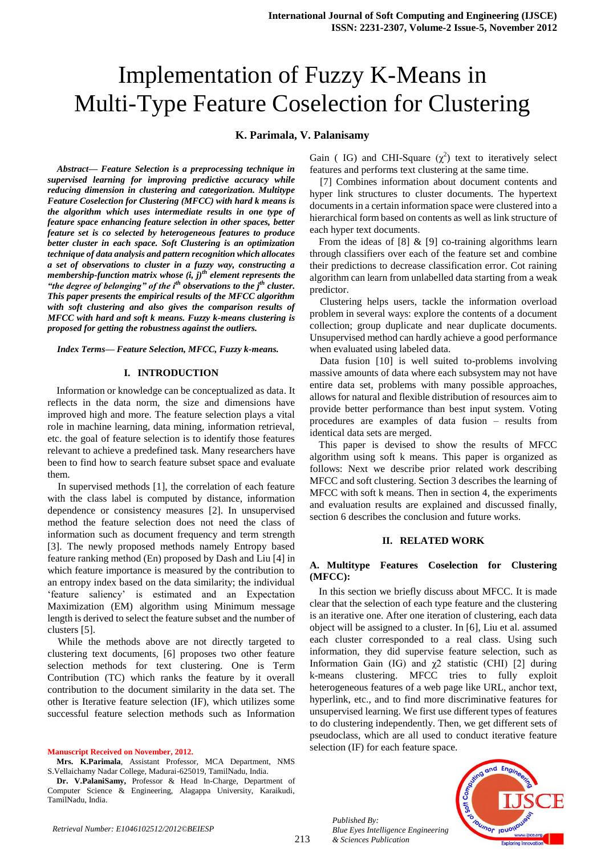# Implementation of Fuzzy K-Means in Multi-Type Feature Coselection for Clustering

# **K. Parimala, V. Palanisamy**

*Abstract— Feature Selection is a preprocessing technique in supervised learning for improving predictive accuracy while reducing dimension in clustering and categorization. Multitype Feature Coselection for Clustering (MFCC) with hard k means is the algorithm which uses intermediate results in one type of feature space enhancing feature selection in other spaces, better feature set is co selected by heterogeneous features to produce better cluster in each space. Soft Clustering is an optimization technique of data analysis and pattern recognition which allocates a set of observations to cluster in a fuzzy way, constructing a membership-function matrix whose (i, j)th element represents the "the degree of belonging" of the ith observations to the jth cluster. This paper presents the empirical results of the MFCC algorithm with soft clustering and also gives the comparison results of MFCC with hard and soft k means. Fuzzy k-means clustering is proposed for getting the robustness against the outliers.*

*Index Terms— Feature Selection, MFCC, Fuzzy k-means.*

#### **I. INTRODUCTION**

Information or knowledge can be conceptualized as data. It reflects in the data norm, the size and dimensions have improved high and more. The feature selection plays a vital role in machine learning, data mining, information retrieval, etc. the goal of feature selection is to identify those features relevant to achieve a predefined task. Many researchers have been to find how to search feature subset space and evaluate them.

In supervised methods [1], the correlation of each feature with the class label is computed by distance, information dependence or consistency measures [2]. In unsupervised method the feature selection does not need the class of information such as document frequency and term strength [3]. The newly proposed methods namely Entropy based feature ranking method (En) proposed by Dash and Liu [4] in which feature importance is measured by the contribution to an entropy index based on the data similarity; the individual "feature saliency" is estimated and an Expectation Maximization (EM) algorithm using Minimum message length is derived to select the feature subset and the number of clusters [5].

While the methods above are not directly targeted to clustering text documents, [6] proposes two other feature selection methods for text clustering. One is Term Contribution (TC) which ranks the feature by it overall contribution to the document similarity in the data set. The other is Iterative feature selection (IF), which utilizes some successful feature selection methods such as Information

**Manuscript Received on November, 2012.**

Gain (IG) and CHI-Square  $(\chi^2)$  text to iteratively select features and performs text clustering at the same time.

[7] Combines information about document contents and hyper link structures to cluster documents. The hypertext documents in a certain information space were clustered into a hierarchical form based on contents as well as link structure of each hyper text documents.

From the ideas of [8] & [9] co-training algorithms learn through classifiers over each of the feature set and combine their predictions to decrease classification error. Cot raining algorithm can learn from unlabelled data starting from a weak predictor.

Clustering helps users, tackle the information overload problem in several ways: explore the contents of a document collection; group duplicate and near duplicate documents. Unsupervised method can hardly achieve a good performance when evaluated using labeled data.

Data fusion [10] is well suited to-problems involving massive amounts of data where each subsystem may not have entire data set, problems with many possible approaches, allows for natural and flexible distribution of resources aim to provide better performance than best input system. Voting procedures are examples of data fusion – results from identical data sets are merged.

This paper is devised to show the results of MFCC algorithm using soft k means. This paper is organized as follows: Next we describe prior related work describing MFCC and soft clustering. Section 3 describes the learning of MFCC with soft k means. Then in section 4, the experiments and evaluation results are explained and discussed finally, section 6 describes the conclusion and future works.

# **II. RELATED WORK**

## **A. Multitype Features Coselection for Clustering (MFCC):**

In this section we briefly discuss about MFCC. It is made clear that the selection of each type feature and the clustering is an iterative one. After one iteration of clustering, each data object will be assigned to a cluster. In [6], Liu et al. assumed each cluster corresponded to a real class. Using such information, they did supervise feature selection, such as Information Gain (IG) and  $χ$ 2 statistic (CHI) [2] during k-means clustering. MFCC tries to fully exploit heterogeneous features of a web page like URL, anchor text, hyperlink, etc., and to find more discriminative features for unsupervised learning. We first use different types of features to do clustering independently. Then, we get different sets of pseudoclass, which are all used to conduct iterative feature selection (IF) for each feature space.

*Published By: Blue Eyes Intelligence Engineering & Sciences Publication* 



**Mrs. K.Parimala**, Assistant Professor, MCA Department, NMS S.Vellaichamy Nadar College, Madurai-625019, TamilNadu, India.

**Dr. V.PalaniSamy,** Professor & Head In-Charge, Department of Computer Science & Engineering, Alagappa University, Karaikudi, TamilNadu, India.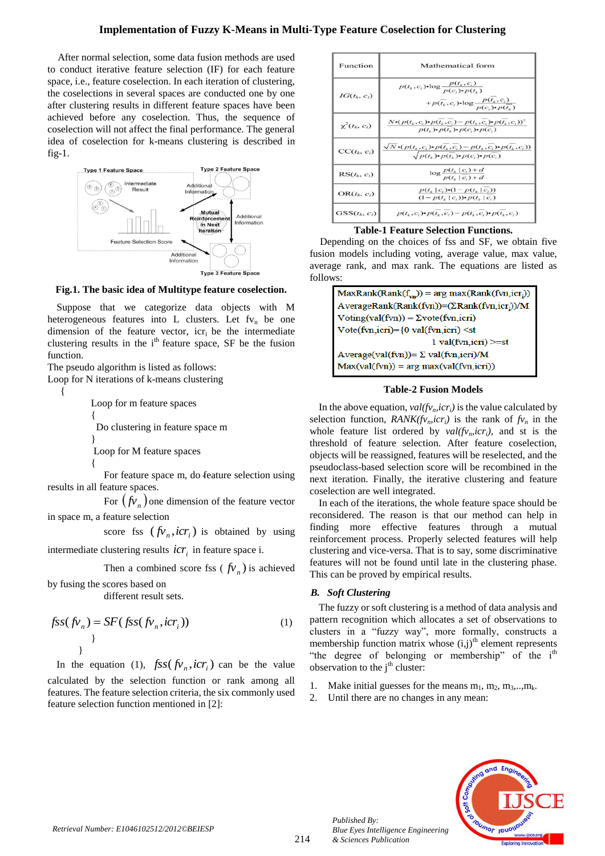After normal selection, some data fusion methods are used to conduct iterative feature selection (IF) for each feature space, i.e., feature coselection. In each iteration of clustering, the coselections in several spaces are conducted one by one after clustering results in different feature spaces have been achieved before any coselection. Thus, the sequence of coselection will not affect the final performance. The general idea of coselection for k-means clustering is described in  $fig-1$ .



**Fig.1. The basic idea of Multitype feature coselection.**

Suppose that we categorize data objects with M heterogeneous features into L clusters. Let  $fv_n$  be one dimension of the feature vector, icr<sub>i</sub> be the intermediate clustering results in the  $i<sup>th</sup>$  feature space, SF be the fusion function.

The pseudo algorithm is listed as follows:

Loop for N iterations of k-means clustering

{

 Loop for m feature spaces  $\left\{ \begin{array}{c} \end{array} \right\}$  Do clustering in feature space m } Loop for M feature spaces  $\left\{\begin{array}{ccc} \end{array}\right\}$ 

For feature space m, do feature selection using results in all feature spaces.

For  $(fv_n)$  one dimension of the feature vector in space m, a feature selection

score fss  $(fv_n, icr_i)$  is obtained by using

intermediate clustering results  $\mathit{icr}_i$  in feature space i.

Then a combined score fss ( $fv_n$ ) is achieved

by fusing the scores based on different result sets.

$$
fss(fv_n) = SF(fss(fv_n, icr_i))
$$
\n<sup>1</sup>

In the equation (1),  $fss(fv_n, icr_i)$  can be the value calculated by the selection function or rank among all features. The feature selection criteria, the six commonly used feature selection function mentioned in [2]:

| Function           | Mathematical form                                                                                                                             |
|--------------------|-----------------------------------------------------------------------------------------------------------------------------------------------|
| $IG(t_k, c_l)$     | $p(t_k, c_i)$ •log $\frac{p(t_k, c_i)}{p(c_i)$ • $p(t_i)}$<br>$+p(\overline{t_k},c_i)$ •log $\frac{p(t_k,c_i)}{p(c_i)$ • $p(\overline{t_k})}$ |
| $\chi^2(t_k, c_l)$ | $N \cdot (p(t_k, c_i) \cdot p(t_k, c_i) - p(t_k, c_i) \cdot p(t_k, c_i))^2$<br>$p(t_i) \cdot p(t_i) \cdot p(c_i) \cdot p(c_i)$                |
| $CC(t_k, c_i)$     | $\sqrt{N}\cdot(p(t_k, c_i)\cdot p(t_k, c_i) - p(t_k, c_i)\cdot p(t_k, c_i))$<br>$\sqrt{p(t_n) \cdot p(t_n) \cdot p(c_n) \cdot p(c_n)}$        |
| $RS(t_k, c_i)$     | $\log \frac{p(t_k \mid c_i) + d}{p(t_k \mid c_i) + d}$                                                                                        |
| $OR(t_k, c_i)$     | $p(t_k   c_i) \cdot (1 - p(t_k   c_i))$<br>$(1-p(t_{k}   c_{i}))\cdot p(t_{k}   c_{i})$                                                       |
| $GSS(t_k, c_i)$    | $p(t_k, c_i) \cdot p(t_k, c_i) - p(t_k, c_i) \cdot p(t_k, c_i)$                                                                               |

**Table-1 Feature Selection Functions.**

Depending on the choices of fss and SF, we obtain five fusion models including voting, average value, max value, average rank, and max rank. The equations are listed as follows:

| $MaxRank(Rank(f_{vn})) = arg max(Rank(fvn,icr_i))$      |  |  |
|---------------------------------------------------------|--|--|
| AverageRank(Rank(fvn))=(ΣRank(fvn,icr <sub>i</sub> ))/M |  |  |
| $Voting(val(fvn)) = \Sigma vote(fvn,icri)$              |  |  |
| Vote(fvn,icri)={0 val(fvn,icri) <st< td=""></st<>       |  |  |
| $1$ val(fvn, icri) $>=$ st                              |  |  |
| Average(val(fvn))= Σ val(fvn,icri)/M                    |  |  |
| $Max(val(fvn)) = arg max(val(fvn,icri))$                |  |  |
|                                                         |  |  |

## **Table-2 Fusion Models**

In the above equation,  $val(fv_n, icr_i)$  is the value calculated by selection function, *RANK(fv<sub>n</sub>,icr<sub>i</sub>)* is the rank of  $f_{v_n}$  in the whole feature list ordered by  $val(fv_n, icr_i)$ , and st is the threshold of feature selection. After feature coselection, objects will be reassigned, features will be reselected, and the pseudoclass-based selection score will be recombined in the next iteration. Finally, the iterative clustering and feature coselection are well integrated.

In each of the iterations, the whole feature space should be reconsidered. The reason is that our method can help in finding more effective features through a mutual reinforcement process. Properly selected features will help clustering and vice-versa. That is to say, some discriminative features will not be found until late in the clustering phase. This can be proved by empirical results.

# *B. Soft Clustering*

*Published By:*

*& Sciences Publication* 

The fuzzy or soft clustering is a method of data analysis and pattern recognition which allocates a set of observations to clusters in a "fuzzy way", more formally, constructs a membership function matrix whose  $(i,j)$ <sup>th</sup> element represents "the degree of belonging or membership" of the  $i<sup>th</sup>$ observation to the  $j<sup>th</sup>$  cluster:

- 1. Make initial guesses for the means  $m_1, m_2, m_3, \ldots, m_k$ .
- 2. Until there are no changes in any mean:

*Blue Eyes Intelligence Engineering* 

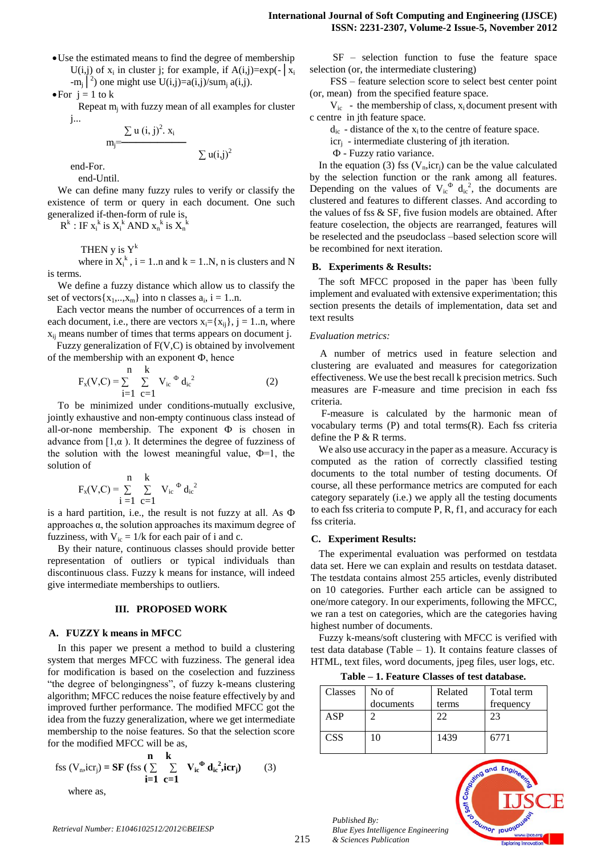Use the estimated means to find the degree of membership U(i,j) of  $x_i$  in cluster j; for example, if  $A(i,j)=exp(-|x_i|)$ -m<sub>j</sub><sup>2</sup>) one might use U(i,j)=a(i,j)/sum<sub>j</sub> a(i,j).

 $\bullet$  For  $i = 1$  to k

Repeat  $m_i$  with fuzzy mean of all examples for cluster j...

$$
m_j = \frac{\sum u(i,j)^2. x_i}{\sum u(i,j)^2}
$$

end-For.

end-Until.

We can define many fuzzy rules to verify or classify the existence of term or query in each document. One such generalized if-then-form of rule is,

 $R^k$ : IF  $x_i^k$  is  $X_i^k$  AND  $x_n^k$  is  $X_n^k$ 

THEN y is  $Y^k$ 

where in  $X_i^k$ ,  $i = 1..n$  and  $k = 1..N$ , n is clusters and N is terms.

We define a fuzzy distance which allow us to classify the set of vectors $\{x_1,...,x_m\}$  into n classes  $a_i$ ,  $i = 1...n$ .

Each vector means the number of occurrences of a term in each document, i.e., there are vectors  $x_i = \{x_{ii}\}\$ ,  $i = 1..n$ , where xij means number of times that terms appears on document j.

Fuzzy generalization of F(V,C) is obtained by involvement of the membership with an exponent  $\Phi$ , hence

$$
F_x(V,C) = \sum_{i=1}^{n} \sum_{c=1}^{k} V_{ic}^{\phi} d_{ic}^{2}
$$
 (2)

To be minimized under conditions-mutually exclusive, jointly exhaustive and non-empty continuous class instead of all-or-none membership. The exponent  $\Phi$  is chosen in advance from  $[1,\alpha)$ . It determines the degree of fuzziness of the solution with the lowest meaningful value,  $\Phi=1$ , the solution of

$$
F_x(V,C) = \sum_{i=1}^{n} \sum_{c=1}^{k} V_{ic}^{\Phi} d_{ic}^2
$$

is a hard partition, i.e., the result is not fuzzy at all. As Ф approaches α, the solution approaches its maximum degree of fuzziness, with  $V_{ic} = 1/k$  for each pair of i and c.

By their nature, continuous classes should provide better representation of outliers or typical individuals than discontinuous class. Fuzzy k means for instance, will indeed give intermediate memberships to outliers.

# **III. PROPOSED WORK**

#### **A. FUZZY k means in MFCC**

In this paper we present a method to build a clustering system that merges MFCC with fuzziness. The general idea for modification is based on the coselection and fuzziness "the degree of belongingness", of fuzzy k-means clustering algorithm; MFCC reduces the noise feature effectively by and improved further performance. The modified MFCC got the idea from the fuzzy generalization, where we get intermediate membership to the noise features. So that the selection score for the modified MFCC will be as,

$$
\text{fss}(V_n, \text{icr}_j) = \mathbf{SF} \text{ (fss)} \sum_{i=1}^{n} \sum_{c=1}^{k} V_{ic}^{\Phi} d_{ic}^2, \text{icr}_j \text{)} \tag{3}
$$

where as,

 SF – selection function to fuse the feature space selection (or, the intermediate clustering)

 FSS – feature selection score to select best center point (or, mean) from the specified feature space.

 $V_{ic}$  - the membership of class,  $x_i$  document present with c centre in jth feature space.

 $d_{ic}$  - distance of the  $x_i$  to the centre of feature space.

 $icr_i$  - intermediate clustering of jth iteration.

Ф - Fuzzy ratio variance.

In the equation (3) fss  $(V_n, icr_i)$  can be the value calculated by the selection function or the rank among all features. Depending on the values of  $V_i^{\phi} d_i^2$ , the documents are clustered and features to different classes. And according to the values of fss  $\&$  SF, five fusion models are obtained. After feature coselection, the objects are rearranged, features will be reselected and the pseudoclass –based selection score will be recombined for next iteration.

#### **B. Experiments & Results:**

The soft MFCC proposed in the paper has \been fully implement and evaluated with extensive experimentation; this section presents the details of implementation, data set and text results

#### *Evaluation metrics:*

A number of metrics used in feature selection and clustering are evaluated and measures for categorization effectiveness. We use the best recall k precision metrics. Such measures are F-measure and time precision in each fss criteria.

F-measure is calculated by the harmonic mean of vocabulary terms  $(P)$  and total terms $(R)$ . Each fss criteria define the P & R terms.

We also use accuracy in the paper as a measure. Accuracy is computed as the ration of correctly classified testing documents to the total number of testing documents. Of course, all these performance metrics are computed for each category separately (i.e.) we apply all the testing documents to each fss criteria to compute P, R, f1, and accuracy for each fss criteria.

# **C. Experiment Results:**

The experimental evaluation was performed on testdata data set. Here we can explain and results on testdata dataset. The testdata contains almost 255 articles, evenly distributed on 10 categories. Further each article can be assigned to one/more category. In our experiments, following the MFCC, we ran a test on categories, which are the categories having highest number of documents.

Fuzzy k-means/soft clustering with MFCC is verified with test data database (Table  $-1$ ). It contains feature classes of HTML, text files, word documents, jpeg files, user logs, etc.

**Table – 1. Feature Classes of test database.**

| Classes    | No of     | Related | Total term |
|------------|-----------|---------|------------|
|            | documents | terms   | frequency  |
| ASP        |           | 22      | 23         |
| <b>CSS</b> | 10        | 1439    | 6771       |



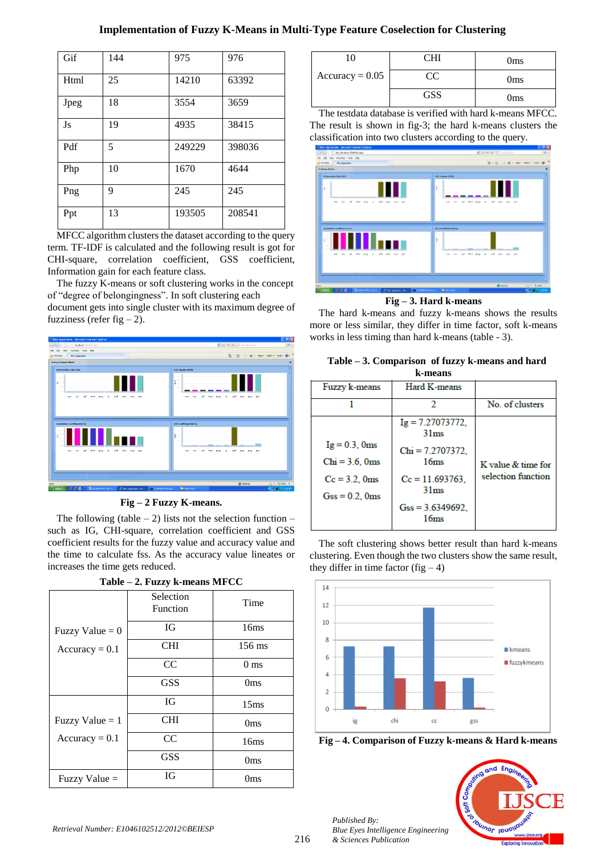# **Implementation of Fuzzy K-Means in Multi-Type Feature Coselection for Clustering**

| Gif  | 144 | 975    | 976    |
|------|-----|--------|--------|
| Html | 25  | 14210  | 63392  |
| Jpeg | 18  | 3554   | 3659   |
| Js   | 19  | 4935   | 38415  |
| Pdf  | 5   | 249229 | 398036 |
| Php  | 10  | 1670   | 4644   |
| Png  | 9   | 245    | 245    |
| Ppt  | 13  | 193505 | 208541 |

MFCC algorithm clusters the dataset according to the query term. TF-IDF is calculated and the following result is got for CHI-square, correlation coefficient, GSS coefficient, Information gain for each feature class.

The fuzzy K-means or soft clustering works in the concept of "degree of belongingness". In soft clustering each

document gets into single cluster with its maximum degree of fuzziness (refer fig  $-2$ ).





The following (table  $-2$ ) lists not the selection function  $$ such as IG, CHI-square, correlation coefficient and GSS coefficient results for the fuzzy value and accuracy value and the time to calculate fss. As the accuracy value lineates or increases the time gets reduced.

|                   | Selection<br>Function | Time             |
|-------------------|-----------------------|------------------|
| Fuzzy Value $= 0$ | <b>IG</b>             | 16ms             |
| $Accuracy = 0.1$  | <b>CHI</b>            | 156 ms           |
|                   | CC                    | 0 <sub>ms</sub>  |
|                   | <b>GSS</b>            | 0 <sub>ms</sub>  |
|                   | <b>IG</b>             | 15 <sub>ms</sub> |
| Fuzzy Value $= 1$ | <b>CHI</b>            | 0 <sub>ms</sub>  |
| $Accuracy = 0.1$  | CC                    | 16ms             |
|                   | <b>GSS</b>            | 0 <sub>ms</sub>  |
| Fuzzy Value $=$   | IG.                   | Oms              |

# **Table – 2. Fuzzy k-means MFCC**

| $\Omega$          | Hl  | 0 <sub>ms</sub> |
|-------------------|-----|-----------------|
| $Accuracy = 0.05$ | CC  | 0 <sub>ms</sub> |
|                   | GSS | 0 <sub>ms</sub> |

The testdata database is verified with hard k-means MFCC. The result is shown in fig-3; the hard k-means clusters the classification into two clusters according to the query.



# **Fig – 3. Hard k-means**

The hard k-means and fuzzy k-means shows the results more or less similar, they differ in time factor, soft k-means works in less timing than hard k-means (table - 3).

| Table – 3. Comparison of fuzzy k-means and hard |  |  |  |  |
|-------------------------------------------------|--|--|--|--|
| k-means                                         |  |  |  |  |

| Fuzzy k-means                                                                          | Hard K-means                                                                                                                                   |                                          |  |  |
|----------------------------------------------------------------------------------------|------------------------------------------------------------------------------------------------------------------------------------------------|------------------------------------------|--|--|
|                                                                                        | 2                                                                                                                                              | No. of clusters                          |  |  |
| $Ig = 0.3$ , 0ms<br>$Chi = 3.6$ , 0 $ms$<br>$Cc = 3.2$ , 0 $ms$<br>$Gss = 0.2$ , $0ms$ | $Ig = 7.27073772$ ,<br>31 <sub>ms</sub><br>$Chi = 7.2707372.$<br>16ms<br>$Cc = 11.693763$ ,<br>31 <sub>ms</sub><br>$Gss = 3.6349692$ ,<br>16ms | K value & time for<br>selection function |  |  |
|                                                                                        |                                                                                                                                                |                                          |  |  |

The soft clustering shows better result than hard k-means clustering. Even though the two clusters show the same result, they differ in time factor (fig  $-4$ )



**Fig – 4. Comparison of Fuzzy k-means & Hard k-means**